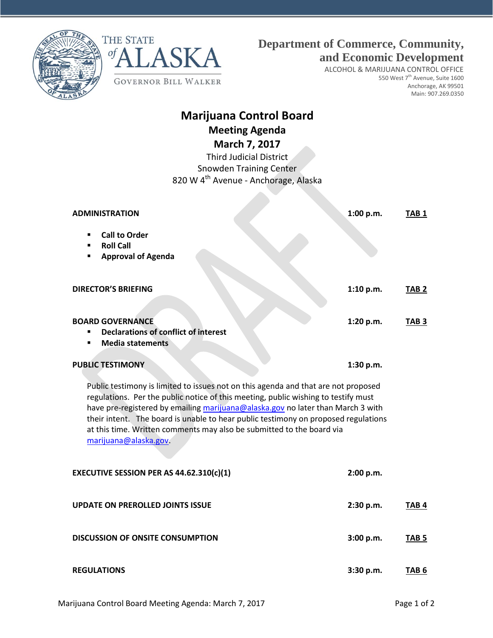



**GOVERNOR BILL WALKER** 

ASKA

ALCOHOL & MARIJUANA CONTROL OFFICE 550 West 7<sup>th</sup> Avenue, Suite 1600 Anchorage, AK 99501 Main: 907.269.0350

## **Marijuana Control Board Meeting Agenda March 7, 2017**

Third Judicial District Snowden Training Center 820 W 4<sup>th</sup> Avenue - Anchorage, Alaska

| <b>ADMINISTRATION</b>                                                                                                                                                                                                                                                                                                                                                                                                                              | 1:00 p.m. | TAB <sub>1</sub> |
|----------------------------------------------------------------------------------------------------------------------------------------------------------------------------------------------------------------------------------------------------------------------------------------------------------------------------------------------------------------------------------------------------------------------------------------------------|-----------|------------------|
| <b>Call to Order</b><br><b>Roll Call</b><br><b>Approval of Agenda</b><br>٠                                                                                                                                                                                                                                                                                                                                                                         |           |                  |
| <b>DIRECTOR'S BRIEFING</b>                                                                                                                                                                                                                                                                                                                                                                                                                         | 1:10 p.m. | TAB <sub>2</sub> |
| <b>BOARD GOVERNANCE</b><br><b>Declarations of conflict of interest</b><br><b>Media statements</b><br>٠                                                                                                                                                                                                                                                                                                                                             | 1:20 p.m. | TAB <sub>3</sub> |
| <b>PUBLIC TESTIMONY</b>                                                                                                                                                                                                                                                                                                                                                                                                                            | 1:30 p.m. |                  |
| Public testimony is limited to issues not on this agenda and that are not proposed<br>regulations. Per the public notice of this meeting, public wishing to testify must<br>have pre-registered by emailing marijuana@alaska.gov no later than March 3 with<br>their intent. The board is unable to hear public testimony on proposed regulations<br>at this time. Written comments may also be submitted to the board via<br>marijuana@alaska.gov |           |                  |
| EXECUTIVE SESSION PER AS 44.62.310(c)(1)                                                                                                                                                                                                                                                                                                                                                                                                           | 2:00 p.m. |                  |
| <b>UPDATE ON PREROLLED JOINTS ISSUE</b>                                                                                                                                                                                                                                                                                                                                                                                                            | 2:30 p.m. | TAB <sub>4</sub> |
| <b>DISCUSSION OF ONSITE CONSUMPTION</b>                                                                                                                                                                                                                                                                                                                                                                                                            | 3:00 p.m. | TAB <sub>5</sub> |
| <b>REGULATIONS</b>                                                                                                                                                                                                                                                                                                                                                                                                                                 | 3:30 p.m. | TAB 6            |